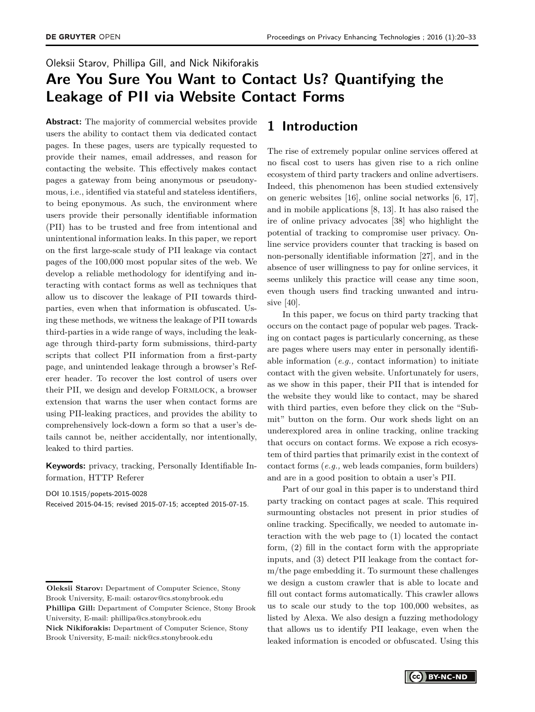### Oleksii Starov, Phillipa Gill, and Nick Nikiforakis

# **Are You Sure You Want to Contact Us? Quantifying the Leakage of PII via Website Contact Forms**

**Abstract:** The majority of commercial websites provide users the ability to contact them via dedicated contact pages. In these pages, users are typically requested to provide their names, email addresses, and reason for contacting the website. This effectively makes contact pages a gateway from being anonymous or pseudonymous, i.e., identified via stateful and stateless identifiers, to being eponymous. As such, the environment where users provide their personally identifiable information (PII) has to be trusted and free from intentional and unintentional information leaks. In this paper, we report on the first large-scale study of PII leakage via contact pages of the 100,000 most popular sites of the web. We develop a reliable methodology for identifying and interacting with contact forms as well as techniques that allow us to discover the leakage of PII towards thirdparties, even when that information is obfuscated. Using these methods, we witness the leakage of PII towards third-parties in a wide range of ways, including the leakage through third-party form submissions, third-party scripts that collect PII information from a first-party page, and unintended leakage through a browser's Referer header. To recover the lost control of users over their PII, we design and develop Formlock, a browser extension that warns the user when contact forms are using PII-leaking practices, and provides the ability to comprehensively lock-down a form so that a user's details cannot be, neither accidentally, nor intentionally, leaked to third parties.

**Keywords:** privacy, tracking, Personally Identifiable Information, HTTP Referer

DOI 10.1515/popets-2015-0028 Received 2015-04-15; revised 2015-07-15; accepted 2015-07-15.

# **1 Introduction**

The rise of extremely popular online services offered at no fiscal cost to users has given rise to a rich online ecosystem of third party trackers and online advertisers. Indeed, this phenomenon has been studied extensively on generic websites [16], online social networks [6, 17], and in mobile applications [8, 13]. It has also raised the ire of online privacy advocates [38] who highlight the potential of tracking to compromise user privacy. Online service providers counter that tracking is based on non-personally identifiable information [27], and in the absence of user willingness to pay for online services, it seems unlikely this practice will cease any time soon, even though users find tracking unwanted and intrusive [40].

In this paper, we focus on third party tracking that occurs on the contact page of popular web pages. Tracking on contact pages is particularly concerning, as these are pages where users may enter in personally identifiable information (*e.g.,* contact information) to initiate contact with the given website. Unfortunately for users, as we show in this paper, their PII that is intended for the website they would like to contact, may be shared with third parties, even before they click on the "Submit" button on the form. Our work sheds light on an underexplored area in online tracking, online tracking that occurs on contact forms. We expose a rich ecosystem of third parties that primarily exist in the context of contact forms (*e.g.,* web leads companies, form builders) and are in a good position to obtain a user's PII.

Part of our goal in this paper is to understand third party tracking on contact pages at scale. This required surmounting obstacles not present in prior studies of online tracking. Specifically, we needed to automate interaction with the web page to (1) located the contact form, (2) fill in the contact form with the appropriate inputs, and (3) detect PII leakage from the contact form/the page embedding it. To surmount these challenges we design a custom crawler that is able to locate and fill out contact forms automatically. This crawler allows us to scale our study to the top 100,000 websites, as listed by Alexa. We also design a fuzzing methodology that allows us to identify PII leakage, even when the leaked information is encoded or obfuscated. Using this

**Oleksii Starov:** Department of Computer Science, Stony Brook University, E-mail: ostarov@cs.stonybrook.edu **Phillipa Gill:** Department of Computer Science, Stony Brook University, E-mail: phillipa@cs.stonybrook.edu

**Nick Nikiforakis:** Department of Computer Science, Stony Brook University, E-mail: nick@cs.stonybrook.edu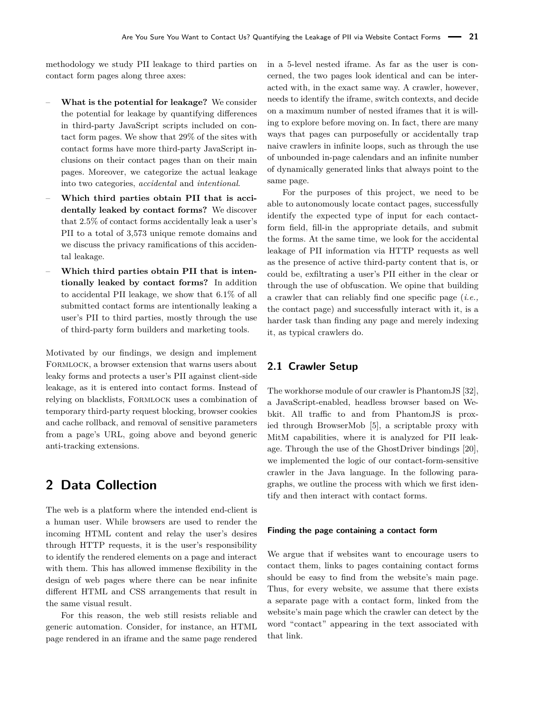methodology we study PII leakage to third parties on contact form pages along three axes:

- **What is the potential for leakage?** We consider the potential for leakage by quantifying differences in third-party JavaScript scripts included on contact form pages. We show that 29% of the sites with contact forms have more third-party JavaScript inclusions on their contact pages than on their main pages. Moreover, we categorize the actual leakage into two categories, *accidental* and *intentional*.
- **Which third parties obtain PII that is accidentally leaked by contact forms?** We discover that 2.5% of contact forms accidentally leak a user's PII to a total of 3,573 unique remote domains and we discuss the privacy ramifications of this accidental leakage.
- **Which third parties obtain PII that is intentionally leaked by contact forms?** In addition to accidental PII leakage, we show that 6.1% of all submitted contact forms are intentionally leaking a user's PII to third parties, mostly through the use of third-party form builders and marketing tools.

Motivated by our findings, we design and implement Formlock, a browser extension that warns users about leaky forms and protects a user's PII against client-side leakage, as it is entered into contact forms. Instead of relying on blacklists, Formlock uses a combination of temporary third-party request blocking, browser cookies and cache rollback, and removal of sensitive parameters from a page's URL, going above and beyond generic anti-tracking extensions.

# **2 Data Collection**

The web is a platform where the intended end-client is a human user. While browsers are used to render the incoming HTML content and relay the user's desires through HTTP requests, it is the user's responsibility to identify the rendered elements on a page and interact with them. This has allowed immense flexibility in the design of web pages where there can be near infinite different HTML and CSS arrangements that result in the same visual result.

For this reason, the web still resists reliable and generic automation. Consider, for instance, an HTML page rendered in an iframe and the same page rendered in a 5-level nested iframe. As far as the user is concerned, the two pages look identical and can be interacted with, in the exact same way. A crawler, however, needs to identify the iframe, switch contexts, and decide on a maximum number of nested iframes that it is willing to explore before moving on. In fact, there are many ways that pages can purposefully or accidentally trap naive crawlers in infinite loops, such as through the use of unbounded in-page calendars and an infinite number of dynamically generated links that always point to the same page.

For the purposes of this project, we need to be able to autonomously locate contact pages, successfully identify the expected type of input for each contactform field, fill-in the appropriate details, and submit the forms. At the same time, we look for the accidental leakage of PII information via HTTP requests as well as the presence of active third-party content that is, or could be, exfiltrating a user's PII either in the clear or through the use of obfuscation. We opine that building a crawler that can reliably find one specific page (*i.e.,* the contact page) and successfully interact with it, is a harder task than finding any page and merely indexing it, as typical crawlers do.

### **2.1 Crawler Setup**

The workhorse module of our crawler is PhantomJS [32], a JavaScript-enabled, headless browser based on Webkit. All traffic to and from PhantomJS is proxied through BrowserMob [5], a scriptable proxy with MitM capabilities, where it is analyzed for PII leakage. Through the use of the GhostDriver bindings [20], we implemented the logic of our contact-form-sensitive crawler in the Java language. In the following paragraphs, we outline the process with which we first identify and then interact with contact forms.

#### **Finding the page containing a contact form**

We argue that if websites want to encourage users to contact them, links to pages containing contact forms should be easy to find from the website's main page. Thus, for every website, we assume that there exists a separate page with a contact form, linked from the website's main page which the crawler can detect by the word "contact" appearing in the text associated with that link.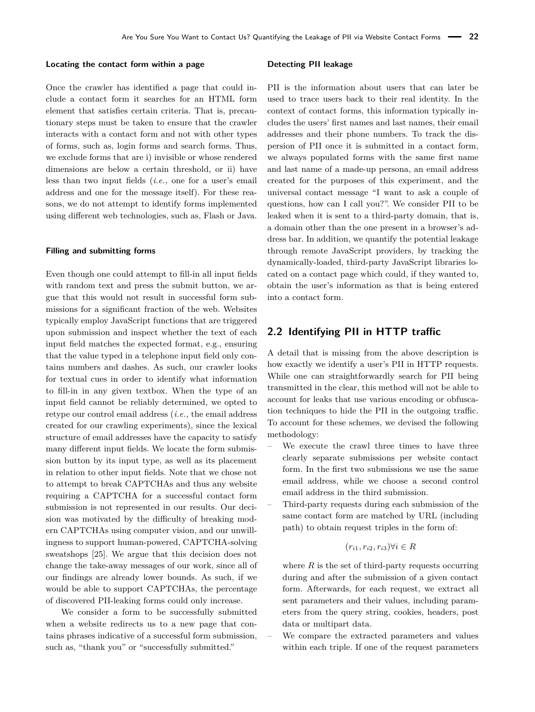#### **Locating the contact form within a page**

Once the crawler has identified a page that could include a contact form it searches for an HTML form element that satisfies certain criteria. That is, precautionary steps must be taken to ensure that the crawler interacts with a contact form and not with other types of forms, such as, login forms and search forms. Thus, we exclude forms that are i) invisible or whose rendered dimensions are below a certain threshold, or ii) have less than two input fields (*i.e.,* one for a user's email address and one for the message itself). For these reasons, we do not attempt to identify forms implemented using different web technologies, such as, Flash or Java.

#### **Filling and submitting forms**

Even though one could attempt to fill-in all input fields with random text and press the submit button, we argue that this would not result in successful form submissions for a significant fraction of the web. Websites typically employ JavaScript functions that are triggered upon submission and inspect whether the text of each input field matches the expected format, e.g., ensuring that the value typed in a telephone input field only contains numbers and dashes. As such, our crawler looks for textual cues in order to identify what information to fill-in in any given textbox. When the type of an input field cannot be reliably determined, we opted to retype our control email address (*i.e.,* the email address created for our crawling experiments), since the lexical structure of email addresses have the capacity to satisfy many different input fields. We locate the form submission button by its input type, as well as its placement in relation to other input fields. Note that we chose not to attempt to break CAPTCHAs and thus any website requiring a CAPTCHA for a successful contact form submission is not represented in our results. Our decision was motivated by the difficulty of breaking modern CAPTCHAs using computer vision, and our unwillingness to support human-powered, CAPTCHA-solving sweatshops [25]. We argue that this decision does not change the take-away messages of our work, since all of our findings are already lower bounds. As such, if we would be able to support CAPTCHAs, the percentage of discovered PII-leaking forms could only increase.

We consider a form to be successfully submitted when a website redirects us to a new page that contains phrases indicative of a successful form submission, such as, "thank you" or "successfully submitted."

#### **Detecting PII leakage**

PII is the information about users that can later be used to trace users back to their real identity. In the context of contact forms, this information typically includes the users' first names and last names, their email addresses and their phone numbers. To track the dispersion of PII once it is submitted in a contact form, we always populated forms with the same first name and last name of a made-up persona, an email address created for the purposes of this experiment, and the universal contact message "I want to ask a couple of questions, how can I call you?". We consider PII to be leaked when it is sent to a third-party domain, that is, a domain other than the one present in a browser's address bar. In addition, we quantify the potential leakage through remote JavaScript providers, by tracking the dynamically-loaded, third-party JavaScript libraries located on a contact page which could, if they wanted to, obtain the user's information as that is being entered into a contact form.

### **2.2 Identifying PII in HTTP traffic**

A detail that is missing from the above description is how exactly we identify a user's PII in HTTP requests. While one can straightforwardly search for PII being transmitted in the clear, this method will not be able to account for leaks that use various encoding or obfuscation techniques to hide the PII in the outgoing traffic. To account for these schemes, we devised the following methodology:

- We execute the crawl three times to have three clearly separate submissions per website contact form. In the first two submissions we use the same email address, while we choose a second control email address in the third submission.
- Third-party requests during each submission of the same contact form are matched by URL (including path) to obtain request triples in the form of:

### (*ri*1*, ri*2*, ri*3)∀*i* ∈ *R*

where  $R$  is the set of third-party requests occurring during and after the submission of a given contact form. Afterwards, for each request, we extract all sent parameters and their values, including parameters from the query string, cookies, headers, post data or multipart data.

– We compare the extracted parameters and values within each triple. If one of the request parameters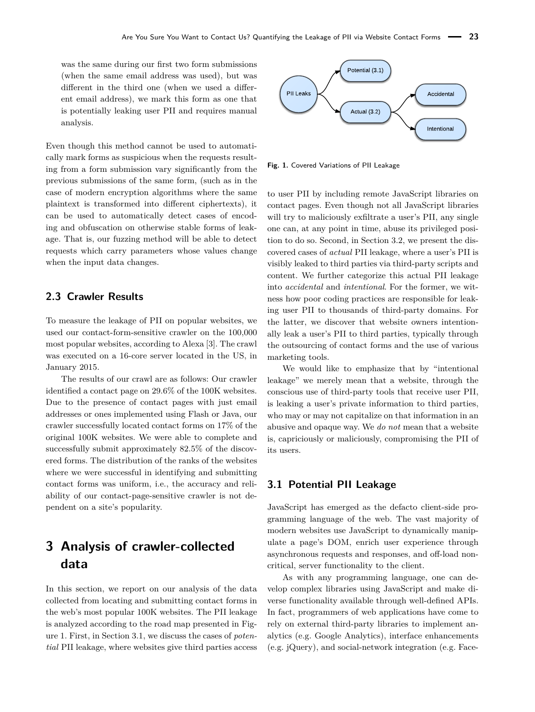was the same during our first two form submissions (when the same email address was used), but was different in the third one (when we used a different email address), we mark this form as one that is potentially leaking user PII and requires manual analysis.

Even though this method cannot be used to automatically mark forms as suspicious when the requests resulting from a form submission vary significantly from the previous submissions of the same form, (such as in the case of modern encryption algorithms where the same plaintext is transformed into different ciphertexts), it can be used to automatically detect cases of encoding and obfuscation on otherwise stable forms of leakage. That is, our fuzzing method will be able to detect requests which carry parameters whose values change when the input data changes.

## **2.3 Crawler Results**

To measure the leakage of PII on popular websites, we used our contact-form-sensitive crawler on the 100,000 most popular websites, according to Alexa [3]. The crawl was executed on a 16-core server located in the US, in January 2015.

The results of our crawl are as follows: Our crawler identified a contact page on 29.6% of the 100K websites. Due to the presence of contact pages with just email addresses or ones implemented using Flash or Java, our crawler successfully located contact forms on 17% of the original 100K websites. We were able to complete and successfully submit approximately 82.5% of the discovered forms. The distribution of the ranks of the websites where we were successful in identifying and submitting contact forms was uniform, i.e., the accuracy and reliability of our contact-page-sensitive crawler is not dependent on a site's popularity.

# **3 Analysis of crawler-collected data**

In this section, we report on our analysis of the data collected from locating and submitting contact forms in the web's most popular 100K websites. The PII leakage is analyzed according to the road map presented in Figure 1. First, in Section 3.1, we discuss the cases of *potential* PII leakage, where websites give third parties access



**Fig. 1.** Covered Variations of PII Leakage

to user PII by including remote JavaScript libraries on contact pages. Even though not all JavaScript libraries will try to maliciously exfiltrate a user's PII, any single one can, at any point in time, abuse its privileged position to do so. Second, in Section 3.2, we present the discovered cases of *actual* PII leakage, where a user's PII is visibly leaked to third parties via third-party scripts and content. We further categorize this actual PII leakage into *accidental* and *intentional*. For the former, we witness how poor coding practices are responsible for leaking user PII to thousands of third-party domains. For the latter, we discover that website owners intentionally leak a user's PII to third parties, typically through the outsourcing of contact forms and the use of various marketing tools.

We would like to emphasize that by "intentional leakage" we merely mean that a website, through the conscious use of third-party tools that receive user PII, is leaking a user's private information to third parties, who may or may not capitalize on that information in an abusive and opaque way. We *do not* mean that a website is, capriciously or maliciously, compromising the PII of its users.

# **3.1 Potential PII Leakage**

JavaScript has emerged as the defacto client-side programming language of the web. The vast majority of modern websites use JavaScript to dynamically manipulate a page's DOM, enrich user experience through asynchronous requests and responses, and off-load noncritical, server functionality to the client.

As with any programming language, one can develop complex libraries using JavaScript and make diverse functionality available through well-defined APIs. In fact, programmers of web applications have come to rely on external third-party libraries to implement analytics (e.g. Google Analytics), interface enhancements (e.g. jQuery), and social-network integration (e.g. Face-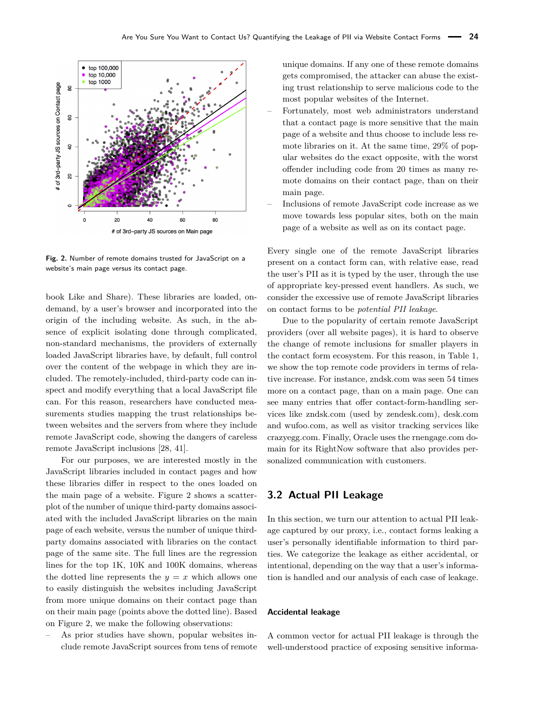

**Fig. 2.** Number of remote domains trusted for JavaScript on a website's main page versus its contact page.

book Like and Share). These libraries are loaded, ondemand, by a user's browser and incorporated into the origin of the including website. As such, in the absence of explicit isolating done through complicated, non-standard mechanisms, the providers of externally loaded JavaScript libraries have, by default, full control over the content of the webpage in which they are included. The remotely-included, third-party code can inspect and modify everything that a local JavaScript file can. For this reason, researchers have conducted measurements studies mapping the trust relationships between websites and the servers from where they include remote JavaScript code, showing the dangers of careless remote JavaScript inclusions [28, 41].

For our purposes, we are interested mostly in the JavaScript libraries included in contact pages and how these libraries differ in respect to the ones loaded on the main page of a website. Figure 2 shows a scatterplot of the number of unique third-party domains associated with the included JavaScript libraries on the main page of each website, versus the number of unique thirdparty domains associated with libraries on the contact page of the same site. The full lines are the regression lines for the top 1K, 10K and 100K domains, whereas the dotted line represents the  $y = x$  which allows one to easily distinguish the websites including JavaScript from more unique domains on their contact page than on their main page (points above the dotted line). Based on Figure 2, we make the following observations:

– As prior studies have shown, popular websites include remote JavaScript sources from tens of remote unique domains. If any one of these remote domains gets compromised, the attacker can abuse the existing trust relationship to serve malicious code to the most popular websites of the Internet.

- Fortunately, most web administrators understand that a contact page is more sensitive that the main page of a website and thus choose to include less remote libraries on it. At the same time, 29% of popular websites do the exact opposite, with the worst offender including code from 20 times as many remote domains on their contact page, than on their main page.
- Inclusions of remote JavaScript code increase as we move towards less popular sites, both on the main page of a website as well as on its contact page.

Every single one of the remote JavaScript libraries present on a contact form can, with relative ease, read the user's PII as it is typed by the user, through the use of appropriate key-pressed event handlers. As such, we consider the excessive use of remote JavaScript libraries on contact forms to be *potential PII leakage*.

Due to the popularity of certain remote JavaScript providers (over all website pages), it is hard to observe the change of remote inclusions for smaller players in the contact form ecosystem. For this reason, in Table 1, we show the top remote code providers in terms of relative increase. For instance,<zndsk.com> was seen 54 times more on a contact page, than on a main page. One can see many entries that offer contact-form-handling services like<zndsk.com> (used by [zendesk.com\)](zendesk.com),<desk.com> and [wufoo.com,](wufoo.com) as well as visitor tracking services like [crazyegg.com.](crazyegg.com) Finally, Oracle uses the<rnengage.com> domain for its RightNow software that also provides personalized communication with customers.

## **3.2 Actual PII Leakage**

In this section, we turn our attention to actual PII leakage captured by our proxy, i.e., contact forms leaking a user's personally identifiable information to third parties. We categorize the leakage as either accidental, or intentional, depending on the way that a user's information is handled and our analysis of each case of leakage.

#### **Accidental leakage**

A common vector for actual PII leakage is through the well-understood practice of exposing sensitive informa-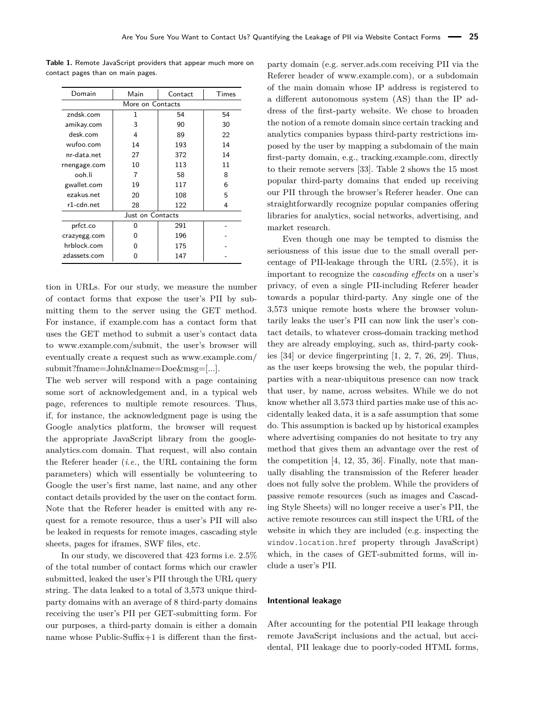| Domain           | Main | Contact | Times |  |  |
|------------------|------|---------|-------|--|--|
| More on Contacts |      |         |       |  |  |
| zndsk.com        | 1    | 54      | 54    |  |  |
| amikay.com       | 3    | 90      | 30    |  |  |
| desk.com         | 4    | 89      | 22    |  |  |
| wufoo.com        | 14   | 193     | 14    |  |  |
| nr-data.net      | 27   | 372     | 14    |  |  |
| rnengage.com     | 10   | 113     | 11    |  |  |
| ooh li           | 7    | 58      | 8     |  |  |
| gwallet.com      | 19   | 117     | 6     |  |  |
| ezakus.net       | 20   | 108     | 5     |  |  |
| r1-cdn.net       | 28   | 122     | 4     |  |  |
| Just on Contacts |      |         |       |  |  |
| prfct.co         | 0    | 291     |       |  |  |
| crazyegg.com     | 0    | 196     |       |  |  |
| hrblock.com      | O    | 175     |       |  |  |
| zdassets.com     | ი    | 147     |       |  |  |

**Table 1.** Remote JavaScript providers that appear much more on contact pages than on main pages.

tion in URLs. For our study, we measure the number of contact forms that expose the user's PII by submitting them to the server using the GET method. For instance, if<example.com> has a contact form that uses the GET method to submit a user's contact data to [www.example.com/submit,](www.example.com/submit) the user's browser will eventually create a request such as [www.example.com/](www.example.com/submit?fname=John&lname=Doe&msg=[...]) [submit?fname=John&lname=Doe&msg=\[...\].](www.example.com/submit?fname=John&lname=Doe&msg=[...])

The web server will respond with a page containing some sort of acknowledgement and, in a typical web page, references to multiple remote resources. Thus, if, for instance, the acknowledgment page is using the Google analytics platform, the browser will request the appropriate JavaScript library from the [google](google-analytics.com)[analytics.com](google-analytics.com) domain. That request, will also contain the Referer header (*i.e.,* the URL containing the form parameters) which will essentially be volunteering to Google the user's first name, last name, and any other contact details provided by the user on the contact form. Note that the Referer header is emitted with any request for a remote resource, thus a user's PII will also be leaked in requests for remote images, cascading style sheets, pages for iframes, SWF files, etc.

In our study, we discovered that 423 forms i.e. 2.5% of the total number of contact forms which our crawler submitted, leaked the user's PII through the URL query string. The data leaked to a total of 3,573 unique thirdparty domains with an average of 8 third-party domains receiving the user's PII per GET-submitting form. For our purposes, a third-party domain is either a domain name whose Public-Suffix+1 is different than the firstparty domain (e.g.<server.ads.com> receiving PII via the Referer header of [www.example.com\)](www.example.com), or a subdomain of the main domain whose IP address is registered to a different autonomous system (AS) than the IP address of the first-party website. We chose to broaden the notion of a remote domain since certain tracking and analytics companies bypass third-party restrictions imposed by the user by mapping a subdomain of the main first-party domain, e.g., [tracking.example.com,](tracking.example.com) directly to their remote servers [33]. Table 2 shows the 15 most popular third-party domains that ended up receiving our PII through the browser's Referer header. One can straightforwardly recognize popular companies offering libraries for analytics, social networks, advertising, and market research.

Even though one may be tempted to dismiss the seriousness of this issue due to the small overall percentage of PII-leakage through the URL (2.5%), it is important to recognize the *cascading effects* on a user's privacy, of even a single PII-including Referer header towards a popular third-party. Any single one of the 3,573 unique remote hosts where the browser voluntarily leaks the user's PII can now link the user's contact details, to whatever cross-domain tracking method they are already employing, such as, third-party cookies [34] or device fingerprinting [1, 2, 7, 26, 29]. Thus, as the user keeps browsing the web, the popular thirdparties with a near-ubiquitous presence can now track that user, by name, across websites. While we do not know whether all 3,573 third parties make use of this accidentally leaked data, it is a safe assumption that some do. This assumption is backed up by historical examples where advertising companies do not hesitate to try any method that gives them an advantage over the rest of the competition [4, 12, 35, 36]. Finally, note that manually disabling the transmission of the Referer header does not fully solve the problem. While the providers of passive remote resources (such as images and Cascading Style Sheets) will no longer receive a user's PII, the active remote resources can still inspect the URL of the website in which they are included (e.g. inspecting the window.location.href property through JavaScript) which, in the cases of GET-submitted forms, will include a user's PII.

#### **Intentional leakage**

After accounting for the potential PII leakage through remote JavaScript inclusions and the actual, but accidental, PII leakage due to poorly-coded HTML forms,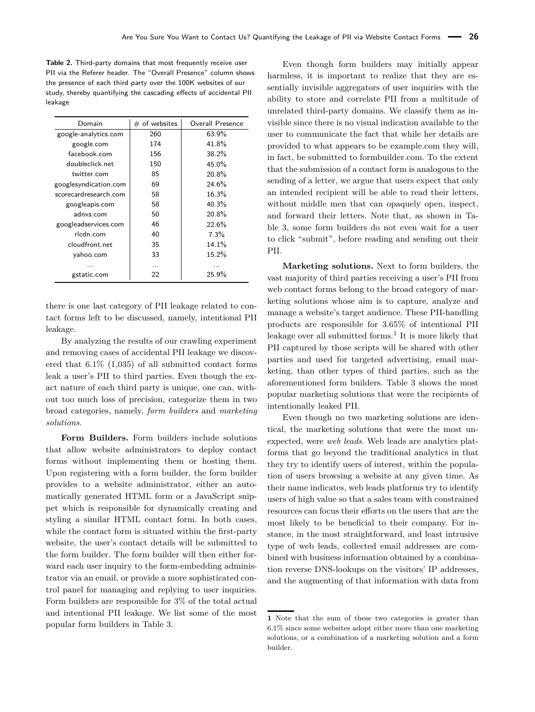**Table 2.** Third-party domains that most frequently receive user PII via the Referer header. The "Overall Presence" column shows the presence of each third party over the 100K websites of our study, thereby quantifying the cascading effects of accidental PII leakage

| Domain                | $#$ of websites | Overall Presence |  |
|-----------------------|-----------------|------------------|--|
| google-analytics.com  | 260             | 63.9%            |  |
| google.com            | 174             | 41.8%            |  |
| facebook.com          | 156             | 38.2%            |  |
| doubleclick.net       | 150             | $45.0\%$         |  |
| twitter.com           | 20.8%<br>85     |                  |  |
| googlesyndication.com | 69              | 24.6%            |  |
| scorecardresearch.com | 58              | 16.3%            |  |
| googleapis.com        | 58              | 40.3%            |  |
| adnxs.com             | 50              | 20.8%            |  |
| googleadservices.com  | 46              | 22.6%            |  |
| rlcdn.com             | 40              | 7.3%             |  |
| cloudfront.net        | 35              | 14.1%            |  |
| vahoo.com             | 33              | 15.2%            |  |
|                       |                 |                  |  |
| gstatic.com           | 22              | 25.9%            |  |

there is one last category of PII leakage related to contact forms left to be discussed, namely, intentional PII leakage.

By analyzing the results of our crawling experiment and removing cases of accidental PII leakage we discovered that 6.1% (1,035) of all submitted contact forms leak a user's PII to third parties. Even though the exact nature of each third party is unique, one can, without too much loss of precision, categorize them in two broad categories, namely, *form builders* and *marketing solutions*.

**Form Builders.** Form builders include solutions that allow website administrators to deploy contact forms without implementing them or hosting them. Upon registering with a form builder, the form builder provides to a website administrator, either an automatically generated HTML form or a JavaScript snippet which is responsible for dynamically creating and styling a similar HTML contact form. In both cases, while the contact form is situated within the first-party website, the user's contact details will be submitted to the form builder. The form builder will then either forward each user inquiry to the form-embedding administrator via an email, or provide a more sophisticated control panel for managing and replying to user inquiries. Form builders are responsible for 3% of the total actual and intentional PII leakage. We list some of the most popular form builders in Table 3.

Even though form builders may initially appear harmless, it is important to realize that they are essentially invisible aggregators of user inquiries with the ability to store and correlate PII from a multitude of unrelated third-party domains. We classify them as invisible since there is no visual indication available to the user to communicate the fact that while her details are provided to what appears to be<example.com> they will, in fact, be submitted to [formbuilder.com.](formbuilder.com) To the extent that the submission of a contact form is analogous to the sending of a letter, we argue that users expect that only an intended recipient will be able to read their letters, without middle men that can opaquely open, inspect, and forward their letters. Note that, as shown in Table 3, some form builders do not even wait for a user to click "submit", before reading and sending out their PII.

**Marketing solutions.** Next to form builders, the vast majority of third parties receiving a user's PII from web contact forms belong to the broad category of marketing solutions whose aim is to capture, analyze and manage a website's target audience. These PII-handling products are responsible for 3.65% of intentional PII leakage over all submitted forms.<sup>1</sup> It is more likely that PII captured by those scripts will be shared with other parties and used for targeted advertising, email marketing, than other types of third parties, such as the aforementioned form builders. Table 3 shows the most popular marketing solutions that were the recipients of intentionally leaked PII.

Even though no two marketing solutions are identical, the marketing solutions that were the most unexpected, were *web leads*. Web leads are analytics platforms that go beyond the traditional analytics in that they try to identify users of interest, within the population of users browsing a website at any given time. As their name indicates, web leads platforms try to identify users of high value so that a sales team with constrained resources can focus their efforts on the users that are the most likely to be beneficial to their company. For instance, in the most straightforward, and least intrusive type of web leads, collected email addresses are combined with business information obtained by a combination reverse DNS-lookups on the visitors' IP addresses, and the augmenting of that information with data from

**<sup>1</sup>** Note that the sum of these two categories is greater than 6.1% since some websites adopt either more than one marketing solutions, or a combination of a marketing solution and a form builder.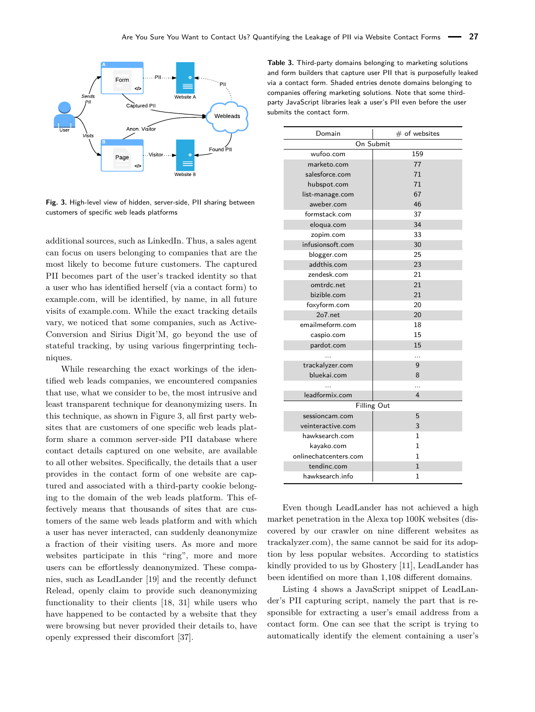

**Fig. 3.** High-level view of hidden, server-side, PII sharing between customers of specific web leads platforms

additional sources, such as LinkedIn. Thus, a sales agent can focus on users belonging to companies that are the most likely to become future customers. The captured PII becomes part of the user's tracked identity so that a user who has identified herself (via a contact form) to [example.com,](example.com) will be identified, by name, in all future visits of [example.com.](example.com) While the exact tracking details vary, we noticed that some companies, such as Active-Conversion and Sirius Digit'M, go beyond the use of stateful tracking, by using various fingerprinting techniques.

While researching the exact workings of the identified web leads companies, we encountered companies that use, what we consider to be, the most intrusive and least transparent technique for deanonymizing users. In this technique, as shown in Figure 3, all first party websites that are customers of one specific web leads platform share a common server-side PII database where contact details captured on one website, are available to all other websites. Specifically, the details that a user provides in the contact form of one website are captured and associated with a third-party cookie belonging to the domain of the web leads platform. This effectively means that thousands of sites that are customers of the same web leads platform and with which a user has never interacted, can suddenly deanonymize a fraction of their visiting users. As more and more websites participate in this "ring", more and more users can be effortlessly deanonymized. These companies, such as LeadLander [19] and the recently defunct Relead, openly claim to provide such deanonymizing functionality to their clients [18, 31] while users who have happened to be contacted by a website that they were browsing but never provided their details to, have openly expressed their discomfort [37].

**Table 3.** Third-party domains belonging to marketing solutions and form builders that capture user PII that is purposefully leaked via a contact form. Shaded entries denote domains belonging to companies offering marketing solutions. Note that some thirdparty JavaScript libraries leak a user's PII even before the user submits the contact form.

| Domain                | $#$ of websites |  |  |  |
|-----------------------|-----------------|--|--|--|
| On Submit             |                 |  |  |  |
| wufoo.com             | 159             |  |  |  |
| marketo.com           | 77              |  |  |  |
| salesforce.com        | 71              |  |  |  |
| hubspot.com           | 71              |  |  |  |
| list-manage.com       | 67              |  |  |  |
| aweber.com            | 46              |  |  |  |
| formstack.com         | 37              |  |  |  |
| eloqua.com            | 34              |  |  |  |
| zopim.com             | 33              |  |  |  |
| infusionsoft.com      | 30              |  |  |  |
| blogger.com           | 25              |  |  |  |
| addthis.com           | 23              |  |  |  |
| zendesk.com           | 21              |  |  |  |
| omtrdc.net            | 21              |  |  |  |
| bizible.com           | 21              |  |  |  |
| foxyform.com          | 20              |  |  |  |
| 2o7.net               | 20              |  |  |  |
| emailmeform.com       | 18              |  |  |  |
| caspio.com            | 15              |  |  |  |
| pardot.com            | 15              |  |  |  |
|                       | .               |  |  |  |
| trackalyzer.com       | 9               |  |  |  |
| bluekai.com           | 8               |  |  |  |
|                       | .               |  |  |  |
| leadformix.com        | 4               |  |  |  |
| <b>Filling Out</b>    |                 |  |  |  |
| sessioncam.com        | 5               |  |  |  |
| veinteractive.com     | 3               |  |  |  |
| hawksearch.com        | 1               |  |  |  |
| kayako.com            | $\mathbf{1}$    |  |  |  |
| onlinechatcenters.com | $\mathbf{1}$    |  |  |  |
| tendinc.com           | 1               |  |  |  |
| hawksearch.info       | 1               |  |  |  |

Even though LeadLander has not achieved a high market penetration in the Alexa top 100K websites (discovered by our crawler on nine different websites as [trackalyzer.com\)](trackalyzer.com), the same cannot be said for its adoption by less popular websites. According to statistics kindly provided to us by Ghostery [11], LeadLander has been identified on more than 1,108 different domains.

Listing 4 shows a JavaScript snippet of LeadLander's PII capturing script, namely the part that is responsible for extracting a user's email address from a contact form. One can see that the script is trying to automatically identify the element containing a user's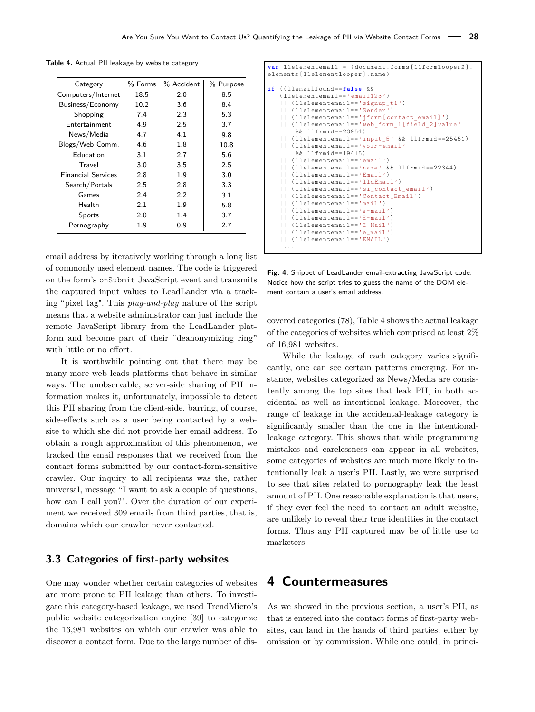| Category                  | % Forms | % Accident | % Purpose |
|---------------------------|---------|------------|-----------|
| Computers/Internet        | 18.5    | 2.0        | 8.5       |
| Business/Economy          | 10.2    | 3.6        | 8.4       |
| Shopping                  | 7.4     | 2.3        | 5.3       |
| Entertainment             | 4.9     | 2.5        | 3.7       |
| News/Media                | 4.7     | 4.1        | 9.8       |
| Blogs/Web Comm.           | 4.6     | 1.8        | 10.8      |
| Education                 | 3.1     | 2.7        | 5.6       |
| Travel                    | 3.0     | 3.5        | 2.5       |
| <b>Financial Services</b> | 2.8     | 1.9        | 3.0       |
| Search/Portals            | 2.5     | 2.8        | 3.3       |
| Games                     | 2.4     | 2.2        | 3.1       |
| Health                    | 2.1     | 1.9        | 5.8       |
| Sports                    | 2.0     | 1.4        | 3.7       |
| Pornography               | 1.9     | 0.9        | 2.7       |

**Table 4.** Actual PII leakage by website category

email address by iteratively working through a long list of commonly used element names. The code is triggered on the form's onSubmit JavaScript event and transmits the captured input values to LeadLander via a tracking "pixel tag". This *plug-and-play* nature of the script means that a website administrator can just include the remote JavaScript library from the LeadLander platform and become part of their "deanonymizing ring" with little or no effort.

It is worthwhile pointing out that there may be many more web leads platforms that behave in similar ways. The unobservable, server-side sharing of PII information makes it, unfortunately, impossible to detect this PII sharing from the client-side, barring, of course, side-effects such as a user being contacted by a website to which she did not provide her email address. To obtain a rough approximation of this phenomenon, we tracked the email responses that we received from the contact forms submitted by our contact-form-sensitive crawler. Our inquiry to all recipients was the, rather universal, message "I want to ask a couple of questions, how can I call you?". Over the duration of our experiment we received 309 emails from third parties, that is, domains which our crawler never contacted.

## **3.3 Categories of first-party websites**

One may wonder whether certain categories of websites are more prone to PII leakage than others. To investigate this category-based leakage, we used TrendMicro's public website categorization engine [39] to categorize the 16,981 websites on which our crawler was able to discover a contact form. Due to the large number of dis-

**var** llelementemail = ( document . forms [ llformlooper2 ]. elements [ llelementlooper ]. name ) **if** (( llemailfound == **false** && ( llelementemail == 'email123 ') || ( llelementemail == 'signup\_t1 ') || ( llelementemail == 'Sender ') || ( llelementemail == 'jform [ contact\_email ]') || ( llelementemail == 'web\_form\_1 [ field\_2 ] value ' && llfrmid ==23954)  $(11$ elementemail == 'input\_5 ' && llfrmid == 25451) || ( llelementemail == 'your - email ' && llfrmid ==19415)  $(llelement email == 'email')$ || (llelementemail=='name' && llfrmid==22344)<br>|| (llelementemail=='Email') ( llelementemail == 'Email ') || (llelementemail == 'lldEmail')<br>|| (llelementemail == 'si\_contact || (11elementemail=='si\_contact\_email')<br>|| (11elementemail=='Contact\_Email') || ( llelementemail == ' Contact\_Email ') || (llelementemail == 'mail')<br>|| (llelementemail == 'e-mail || (llelementemail == 'e-mail')<br>|| (llelementemail == 'E-mail')  $(llelement email == 'E-mail')$ || ( llelementemail == 'E- Mail ')  $(11$ elementemail == 'e\_mail') || ( llelementemail == 'EMAIL ') ...

**Fig. 4.** Snippet of LeadLander email-extracting JavaScript code. Notice how the script tries to guess the name of the DOM element contain a user's email address.

covered categories (78), Table 4 shows the actual leakage of the categories of websites which comprised at least 2% of 16,981 websites.

While the leakage of each category varies significantly, one can see certain patterns emerging. For instance, websites categorized as News/Media are consistently among the top sites that leak PII, in both accidental as well as intentional leakage. Moreover, the range of leakage in the accidental-leakage category is significantly smaller than the one in the intentionalleakage category. This shows that while programming mistakes and carelessness can appear in all websites, some categories of websites are much more likely to intentionally leak a user's PII. Lastly, we were surprised to see that sites related to pornography leak the least amount of PII. One reasonable explanation is that users, if they ever feel the need to contact an adult website, are unlikely to reveal their true identities in the contact forms. Thus any PII captured may be of little use to marketers.

## **4 Countermeasures**

As we showed in the previous section, a user's PII, as that is entered into the contact forms of first-party websites, can land in the hands of third parties, either by omission or by commission. While one could, in princi-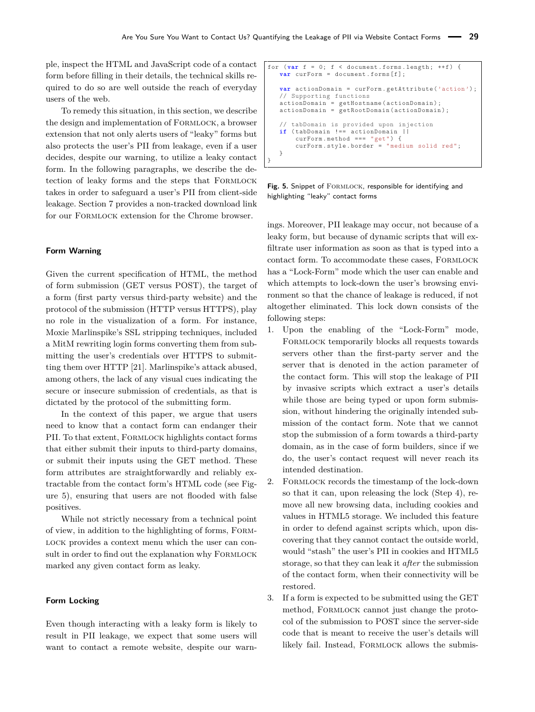ple, inspect the HTML and JavaScript code of a contact form before filling in their details, the technical skills required to do so are well outside the reach of everyday users of the web.

To remedy this situation, in this section, we describe the design and implementation of Formlock, a browser extension that not only alerts users of "leaky" forms but also protects the user's PII from leakage, even if a user decides, despite our warning, to utilize a leaky contact form. In the following paragraphs, we describe the detection of leaky forms and the steps that Formlock takes in order to safeguard a user's PII from client-side leakage. Section 7 provides a non-tracked download link for our FORMLOCK extension for the Chrome browser.

#### **Form Warning**

Given the current specification of HTML, the method of form submission (GET versus POST), the target of a form (first party versus third-party website) and the protocol of the submission (HTTP versus HTTPS), play no role in the visualization of a form. For instance, Moxie Marlinspike's SSL stripping techniques, included a MitM rewriting login forms converting them from submitting the user's credentials over HTTPS to submitting them over HTTP [21]. Marlinspike's attack abused, among others, the lack of any visual cues indicating the secure or insecure submission of credentials, as that is dictated by the protocol of the submitting form.

In the context of this paper, we argue that users need to know that a contact form can endanger their PII. To that extent, FORMLOCK highlights contact forms that either submit their inputs to third-party domains, or submit their inputs using the GET method. These form attributes are straightforwardly and reliably extractable from the contact form's HTML code (see Figure 5), ensuring that users are not flooded with false positives.

While not strictly necessary from a technical point of view, in addition to the highlighting of forms, Form-LOCK provides a context menu which the user can consult in order to find out the explanation why FORMLOCK marked any given contact form as leaky.

#### **Form Locking**

Even though interacting with a leaky form is likely to result in PII leakage, we expect that some users will want to contact a remote website, despite our warn-

```
for (\text{var } f = 0; f \leq \text{document} \text{ forms} \text{.} \text{length}: +f) {
   var curForm = document . forms [f];
   var actionDomain = curForm . getAttribute ('action ') ;
   // Supporting functions
   actionDomain = getHostname ( actionDomain ) ;
   actionDomain = getRootDomain (actionDomain);
   // tabDomain is provided upon injection<br>if (tabDomain I== actionDomain II
       if ( tabDomain !== actionDomain ||
         curForm . method === "get ") {
         curForm . style . border = " medium solid red";
   }
}
```
Fig. 5. Snippet of FORMLOCK, responsible for identifying and highlighting "leaky" contact forms

ings. Moreover, PII leakage may occur, not because of a leaky form, but because of dynamic scripts that will exfiltrate user information as soon as that is typed into a contact form. To accommodate these cases, Formlock has a "Lock-Form" mode which the user can enable and which attempts to lock-down the user's browsing environment so that the chance of leakage is reduced, if not altogether eliminated. This lock down consists of the following steps:

- 1. Upon the enabling of the "Lock-Form" mode, Formlock temporarily blocks all requests towards servers other than the first-party server and the server that is denoted in the action parameter of the contact form. This will stop the leakage of PII by invasive scripts which extract a user's details while those are being typed or upon form submission, without hindering the originally intended submission of the contact form. Note that we cannot stop the submission of a form towards a third-party domain, as in the case of form builders, since if we do, the user's contact request will never reach its intended destination.
- 2. Formlock records the timestamp of the lock-down so that it can, upon releasing the lock (Step 4), remove all new browsing data, including cookies and values in HTML5 storage. We included this feature in order to defend against scripts which, upon discovering that they cannot contact the outside world, would "stash" the user's PII in cookies and HTML5 storage, so that they can leak it *after* the submission of the contact form, when their connectivity will be restored.
- 3. If a form is expected to be submitted using the GET method, FORMLOCK cannot just change the protocol of the submission to POST since the server-side code that is meant to receive the user's details will likely fail. Instead, FORMLOCK allows the submis-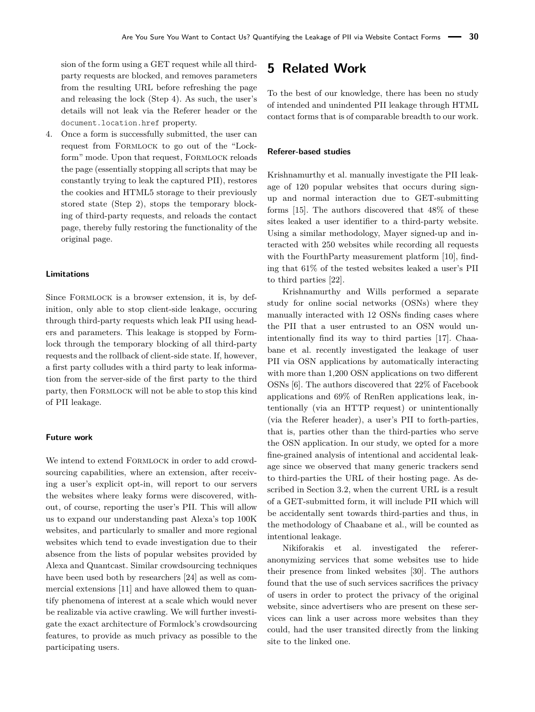sion of the form using a GET request while all thirdparty requests are blocked, and removes parameters from the resulting URL before refreshing the page and releasing the lock (Step 4). As such, the user's details will not leak via the Referer header or the document.location.href property.

4. Once a form is successfully submitted, the user can request from Formlock to go out of the "Lockform" mode. Upon that request, Formlock reloads the page (essentially stopping all scripts that may be constantly trying to leak the captured PII), restores the cookies and HTML5 storage to their previously stored state (Step 2), stops the temporary blocking of third-party requests, and reloads the contact page, thereby fully restoring the functionality of the original page.

#### **Limitations**

Since Formlock is a browser extension, it is, by definition, only able to stop client-side leakage, occuring through third-party requests which leak PII using headers and parameters. This leakage is stopped by Formlock through the temporary blocking of all third-party requests and the rollback of client-side state. If, however, a first party colludes with a third party to leak information from the server-side of the first party to the third party, then Formlock will not be able to stop this kind of PII leakage.

#### **Future work**

We intend to extend FORMLOCK in order to add crowdsourcing capabilities, where an extension, after receiving a user's explicit opt-in, will report to our servers the websites where leaky forms were discovered, without, of course, reporting the user's PII. This will allow us to expand our understanding past Alexa's top 100K websites, and particularly to smaller and more regional websites which tend to evade investigation due to their absence from the lists of popular websites provided by Alexa and Quantcast. Similar crowdsourcing techniques have been used both by researchers [24] as well as commercial extensions [11] and have allowed them to quantify phenomena of interest at a scale which would never be realizable via active crawling. We will further investigate the exact architecture of Formlock's crowdsourcing features, to provide as much privacy as possible to the participating users.

# **5 Related Work**

To the best of our knowledge, there has been no study of intended and unindented PII leakage through HTML contact forms that is of comparable breadth to our work.

#### **Referer-based studies**

Krishnamurthy et al. manually investigate the PII leakage of 120 popular websites that occurs during signup and normal interaction due to GET-submitting forms [15]. The authors discovered that 48% of these sites leaked a user identifier to a third-party website. Using a similar methodology, Mayer signed-up and interacted with 250 websites while recording all requests with the FourthParty measurement platform [10], finding that 61% of the tested websites leaked a user's PII to third parties [22].

Krishnamurthy and Wills performed a separate study for online social networks (OSNs) where they manually interacted with 12 OSNs finding cases where the PII that a user entrusted to an OSN would unintentionally find its way to third parties [17]. Chaabane et al. recently investigated the leakage of user PII via OSN applications by automatically interacting with more than 1,200 OSN applications on two different OSNs [6]. The authors discovered that 22% of Facebook applications and 69% of RenRen applications leak, intentionally (via an HTTP request) or unintentionally (via the Referer header), a user's PII to forth-parties, that is, parties other than the third-parties who serve the OSN application. In our study, we opted for a more fine-grained analysis of intentional and accidental leakage since we observed that many generic trackers send to third-parties the URL of their hosting page. As described in Section 3.2, when the current URL is a result of a GET-submitted form, it will include PII which will be accidentally sent towards third-parties and thus, in the methodology of Chaabane et al., will be counted as intentional leakage.

Nikiforakis et al. investigated the refereranonymizing services that some websites use to hide their presence from linked websites [30]. The authors found that the use of such services sacrifices the privacy of users in order to protect the privacy of the original website, since advertisers who are present on these services can link a user across more websites than they could, had the user transited directly from the linking site to the linked one.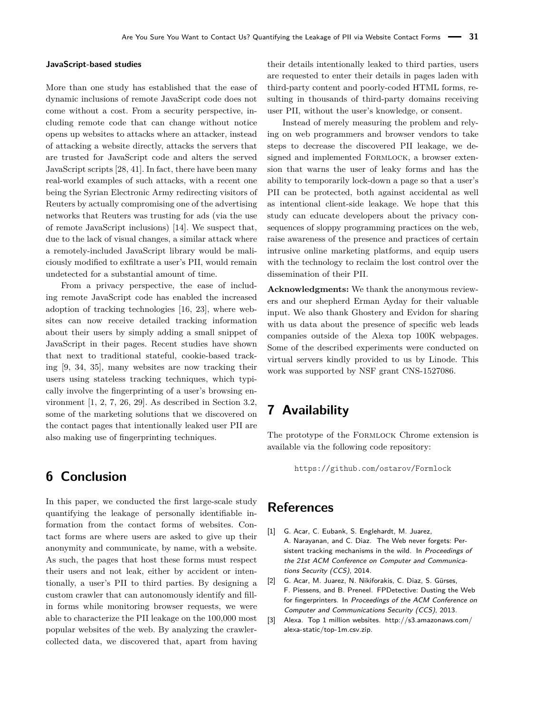#### **JavaScript-based studies**

More than one study has established that the ease of dynamic inclusions of remote JavaScript code does not come without a cost. From a security perspective, including remote code that can change without notice opens up websites to attacks where an attacker, instead of attacking a website directly, attacks the servers that are trusted for JavaScript code and alters the served JavaScript scripts [28, 41]. In fact, there have been many real-world examples of such attacks, with a recent one being the Syrian Electronic Army redirecting visitors of Reuters by actually compromising one of the advertising networks that Reuters was trusting for ads (via the use of remote JavaScript inclusions) [14]. We suspect that, due to the lack of visual changes, a similar attack where a remotely-included JavaScript library would be maliciously modified to exfiltrate a user's PII, would remain undetected for a substantial amount of time.

From a privacy perspective, the ease of including remote JavaScript code has enabled the increased adoption of tracking technologies [16, 23], where websites can now receive detailed tracking information about their users by simply adding a small snippet of JavaScript in their pages. Recent studies have shown that next to traditional stateful, cookie-based tracking [9, 34, 35], many websites are now tracking their users using stateless tracking techniques, which typically involve the fingerprinting of a user's browsing environment [1, 2, 7, 26, 29]. As described in Section 3.2, some of the marketing solutions that we discovered on the contact pages that intentionally leaked user PII are also making use of fingerprinting techniques.

# **6 Conclusion**

In this paper, we conducted the first large-scale study quantifying the leakage of personally identifiable information from the contact forms of websites. Contact forms are where users are asked to give up their anonymity and communicate, by name, with a website. As such, the pages that host these forms must respect their users and not leak, either by accident or intentionally, a user's PII to third parties. By designing a custom crawler that can autonomously identify and fillin forms while monitoring browser requests, we were able to characterize the PII leakage on the 100,000 most popular websites of the web. By analyzing the crawlercollected data, we discovered that, apart from having their details intentionally leaked to third parties, users are requested to enter their details in pages laden with third-party content and poorly-coded HTML forms, resulting in thousands of third-party domains receiving user PII, without the user's knowledge, or consent.

Instead of merely measuring the problem and relying on web programmers and browser vendors to take steps to decrease the discovered PII leakage, we designed and implemented FORMLOCK, a browser extension that warns the user of leaky forms and has the ability to temporarily lock-down a page so that a user's PII can be protected, both against accidental as well as intentional client-side leakage. We hope that this study can educate developers about the privacy consequences of sloppy programming practices on the web, raise awareness of the presence and practices of certain intrusive online marketing platforms, and equip users with the technology to reclaim the lost control over the dissemination of their PII.

**Acknowledgments:** We thank the anonymous reviewers and our shepherd Erman Ayday for their valuable input. We also thank Ghostery and Evidon for sharing with us data about the presence of specific web leads companies outside of the Alexa top 100K webpages. Some of the described experiments were conducted on virtual servers kindly provided to us by Linode. This work was supported by NSF grant CNS-1527086.

# **7 Availability**

The prototype of the FORMLOCK Chrome extension is available via the following code repository:

https://github.com/ostarov/Formlock

# **References**

- [1] G. Acar, C. Eubank, S. Englehardt, M. Juarez, A. Narayanan, and C. Diaz. The Web never forgets: Persistent tracking mechanisms in the wild. In Proceedings of the 21st ACM Conference on Computer and Communications Security (CCS), 2014.
- [2] G. Acar, M. Juarez, N. Nikiforakis, C. Diaz, S. Gürses, F. Piessens, and B. Preneel. FPDetective: Dusting the Web for fingerprinters. In Proceedings of the ACM Conference on Computer and Communications Security (CCS), 2013.
- [3] Alexa. Top 1 million websites. [http://s3.amazonaws.com/](http://s3.amazonaws.com/alexa-static/top-1m.csv.zip) [alexa-static/top-1m.csv.zip.](http://s3.amazonaws.com/alexa-static/top-1m.csv.zip)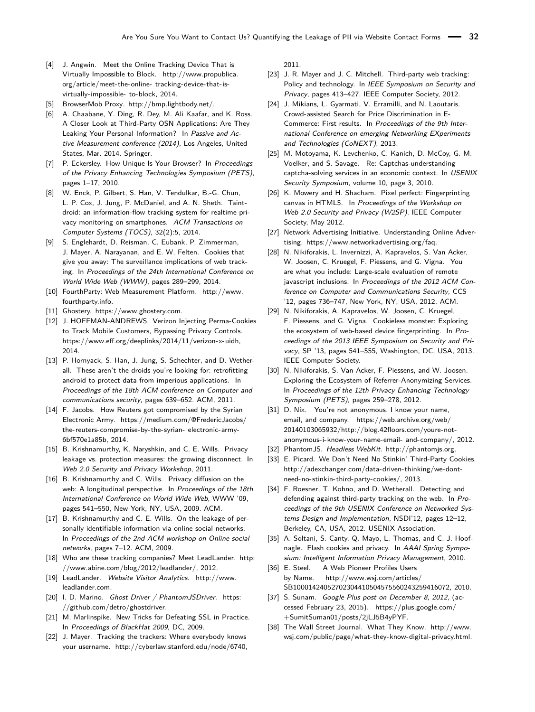- [4] J. Angwin. Meet the Online Tracking Device That is Virtually Impossible to Block. [http://www.propublica.](http://www.propublica.org/) [org/](http://www.propublica.org/)<article/meet-the-online-> [tracking-device-that-is](tracking-device-that-is-virtually-impossible-)[virtually-impossible-](tracking-device-that-is-virtually-impossible-) [to-block,](to-block) 2014.
- [5] BrowserMob Proxy. [http://bmp.lightbody.net/.](http://bmp.lightbody.net/)
- [6] A. Chaabane, Y. Ding, R. Dey, M. Ali Kaafar, and K. Ross. A Closer Look at Third-Party OSN Applications: Are They Leaking Your Personal Information? In Passive and Active Measurement conference (2014), Los Angeles, United States, Mar. 2014. Springer.
- [7] P. Eckersley. How Unique Is Your Browser? In Proceedings of the Privacy Enhancing Technologies Symposium (PETS), pages 1–17, 2010.
- [8] W. Enck, P. Gilbert, S. Han, V. Tendulkar, B.-G. Chun, L. P. Cox, J. Jung, P. McDaniel, and A. N. Sheth. Taintdroid: an information-flow tracking system for realtime privacy monitoring on smartphones. ACM Transactions on Computer Systems (TOCS), 32(2):5, 2014.
- [9] S. Englehardt, D. Reisman, C. Eubank, P. Zimmerman, J. Mayer, A. Narayanan, and E. W. Felten. Cookies that give you away: The surveillance implications of web tracking. In Proceedings of the 24th International Conference on World Wide Web (WWW), pages 289–299, 2014.
- [10] FourthParty: Web Measurement Platform. [http://www.](http://www.fourthparty.info) [fourthparty.info.](http://www.fourthparty.info)
- [11] Ghostery. [https://www.ghostery.com.](https://www.ghostery.com)
- [12] J. HOFFMAN-ANDREWS. Verizon Injecting Perma-Cookies to Track Mobile Customers, Bypassing Privacy Controls. [https://www.eff.org/deeplinks/2014/11/verizon-x-uidh,](https://www.eff.org/deeplinks/2014/11/verizon-x-uidh) 2014.
- [13] P. Hornyack, S. Han, J. Jung, S. Schechter, and D. Wetherall. These aren't the droids you're looking for: retrofitting android to protect data from imperious applications. In Proceedings of the 18th ACM conference on Computer and communications security, pages 639–652. ACM, 2011.
- [14] F. Jacobs. How Reuters got compromised by the Syrian Electronic Army. [https://medium.com/@FredericJacobs/](https://medium.com/@FredericJacobs/the-reuters-compromise-by-the-syrian-) [the-reuters-compromise-by-the-syrian-](https://medium.com/@FredericJacobs/the-reuters-compromise-by-the-syrian-) [electronic-army-](electronic-army-6bf570e1a85b)[6bf570e1a85b,](electronic-army-6bf570e1a85b) 2014.
- [15] B. Krishnamurthy, K. Naryshkin, and C. E. Wills. Privacy leakage vs. protection measures: the growing disconnect. In Web 2.0 Security and Privacy Workshop, 2011.
- [16] B. Krishnamurthy and C. Wills. Privacy diffusion on the web: A longitudinal perspective. In Proceedings of the 18th International Conference on World Wide Web, WWW '09, pages 541–550, New York, NY, USA, 2009. ACM.
- [17] B. Krishnamurthy and C. E. Wills. On the leakage of personally identifiable information via online social networks. In Proceedings of the 2nd ACM workshop on Online social networks, pages 7–12. ACM, 2009.
- [18] Who are these tracking companies? Meet LeadLander. [http:](http://www.abine.com/blog/2012/leadlander/) [//www.abine.com/blog/2012/leadlander/,](http://www.abine.com/blog/2012/leadlander/) 2012.
- [19] LeadLander. Website Visitor Analytics. [http://www.](http://www.leadlander.com) [leadlander.com.](http://www.leadlander.com)
- [20] I. D. Marino. Ghost Driver / PhantomJSDriver. [https:](https://github.com/detro/ghostdriver) [//github.com/detro/ghostdriver.](https://github.com/detro/ghostdriver)
- [21] M. Marlinspike. New Tricks for Defeating SSL in Practice. In Proceedings of BlackHat 2009, DC, 2009.
- [22] J. Mayer. Tracking the trackers: Where everybody knows your username. [http://cyberlaw.stanford.edu/node/6740,](http://cyberlaw.stanford.edu/node/6740)

2011.

- [23] J. R. Mayer and J. C. Mitchell. Third-party web tracking: Policy and technology. In IEEE Symposium on Security and Privacy, pages 413–427. IEEE Computer Society, 2012.
- [24] J. Mikians, L. Gyarmati, V. Erramilli, and N. Laoutaris. Crowd-assisted Search for Price Discrimination in E-Commerce: First results. In Proceedings of the 9th International Conference on emerging Networking EXperiments and Technologies (CoNEXT), 2013.
- [25] M. Motoyama, K. Levchenko, C. Kanich, D. McCoy, G. M. Voelker, and S. Savage. Re: Captchas-understanding captcha-solving services in an economic context. In USENIX Security Symposium, volume 10, page 3, 2010.
- [26] K. Mowery and H. Shacham. Pixel perfect: Fingerprinting canvas in HTML5. In Proceedings of the Workshop on Web 2.0 Security and Privacy (W2SP). IEEE Computer Society, May 2012.
- [27] Network Advertising Initiative. Understanding Online Advertising. [https://www.networkadvertising.org/faq.](https://www.networkadvertising.org/faq)
- [28] N. Nikiforakis, L. Invernizzi, A. Kapravelos, S. Van Acker, W. Joosen, C. Kruegel, F. Piessens, and G. Vigna. You are what you include: Large-scale evaluation of remote javascript inclusions. In Proceedings of the 2012 ACM Conference on Computer and Communications Security, CCS '12, pages 736–747, New York, NY, USA, 2012. ACM.
- [29] N. Nikiforakis, A. Kapravelos, W. Joosen, C. Kruegel, F. Piessens, and G. Vigna. Cookieless monster: Exploring the ecosystem of web-based device fingerprinting. In Proceedings of the 2013 IEEE Symposium on Security and Privacy, SP '13, pages 541–555, Washington, DC, USA, 2013. IEEE Computer Society.
- [30] N. Nikiforakis, S. Van Acker, F. Piessens, and W. Joosen. Exploring the Ecosystem of Referrer-Anonymizing Services. In Proceedings of the 12th Privacy Enhancing Technology Symposium (PETS), pages 259–278, 2012.
- [31] D. Nix. You're not anonymous. I know your name, email, and company. [https://web.archive.org/web/](https://web.archive.org/web/20140103065932/http://blog.42floors.com/youre-not-anonymous-i-know-your-name-email-) [20140103065932/http://blog.42floors.com/youre-not](https://web.archive.org/web/20140103065932/http://blog.42floors.com/youre-not-anonymous-i-know-your-name-email-)[anonymous-i-know-your-name-email-](https://web.archive.org/web/20140103065932/http://blog.42floors.com/youre-not-anonymous-i-know-your-name-email-) [and-company/,](and-company/) 2012.
- [32] PhantomJS. Headless WebKit. [http://phantomjs.org.](http://phantomjs.org)
- [33] E. Picard. We Don't Need No Stinkin' Third-Party Cookies. [http://adexchanger.com/data-driven-thinking/we-dont](http://adexchanger.com/data-driven-thinking/we-dont-need-no-stinkin-third-party-cookies/)[need-no-stinkin-third-party-cookies/,](http://adexchanger.com/data-driven-thinking/we-dont-need-no-stinkin-third-party-cookies/) 2013.
- [34] F. Roesner, T. Kohno, and D. Wetherall. Detecting and defending against third-party tracking on the web. In Proceedings of the 9th USENIX Conference on Networked Systems Design and Implementation, NSDI'12, pages 12–12, Berkeley, CA, USA, 2012. USENIX Association.
- [35] A. Soltani, S. Canty, Q. Mayo, L. Thomas, and C. J. Hoofnagle. Flash cookies and privacy. In AAAI Spring Symposium: Intelligent Information Privacy Management, 2010.
- [36] E. Steel. A Web Pioneer Profiles Users by Name. [http://www.wsj.com/articles/](http://www.wsj.com/articles/SB10001424052702304410504575560243259416072) [SB10001424052702304410504575560243259416072,](http://www.wsj.com/articles/SB10001424052702304410504575560243259416072) 2010.
- [37] S. Sunam. Google Plus post on December 8, 2012, (accessed February 23, 2015). [https://plus.google.com/](https://plus.google.com/+SumitSuman01/posts/2jLJ5B4yPYF) [+SumitSuman01/posts/2jLJ5B4yPYF.](https://plus.google.com/+SumitSuman01/posts/2jLJ5B4yPYF)
- [38] The Wall Street Journal. What They Know. [http://www.](http://www.wsj.com/public/page/what-they-know-digital-privacy.html) [wsj.com/public/page/what-they-know-digital-privacy.html.](http://www.wsj.com/public/page/what-they-know-digital-privacy.html)